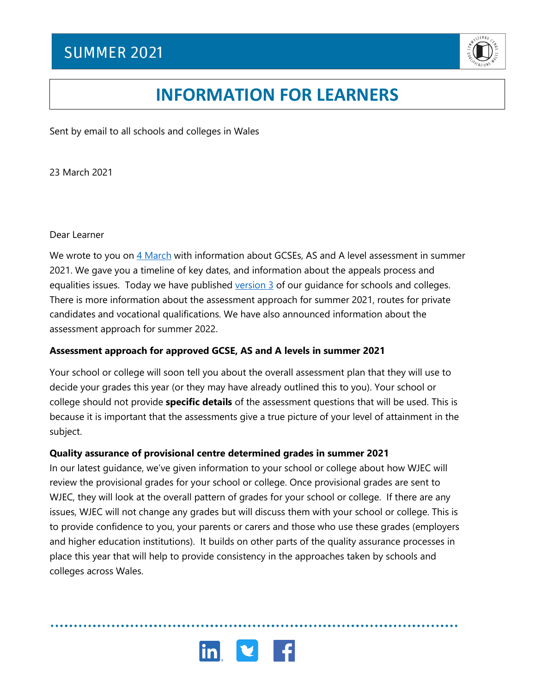

# **INFORMATION FOR LEARNERS**

Sent by email to all schools and colleges in Wales

23 March 2021

Dear Learner

We wrote to you on [4 March](https://www.qualificationswales.org/media/7199/letter-to-learners-040321.pdf) with information about GCSEs, AS and A level assessment in summer 2021. We gave you a timeline of key dates, and information about the appeals process and equalities issues. Today we have published version  $\frac{3}{5}$  of our quidance for schools and colleges. There is more information about the assessment approach for summer 2021, routes for private candidates and vocational qualifications. We have also announced information about the assessment approach for summer 2022.

### **Assessment approach for approved GCSE, AS and A levels in summer 2021**

Your school or college will soon tell you about the overall assessment plan that they will use to decide your grades this year (or they may have already outlined this to you). Your school or college should not provide **specific details** of the assessment questions that will be used. This is because it is important that the assessments give a true picture of your level of attainment in the subject.

#### **Quality assurance of provisional centre determined grades in summer 2021**

In our latest guidance, we've given information to your school or college about how WJEC will review the provisional grades for your school or college. Once provisional grades are sent to WJEC, they will look at the overall pattern of grades for your school or college. If there are any issues, WJEC will not change any grades but will discuss them with your school or college. This is to provide confidence to you, your parents or carers and those who use these grades (employers and higher education institutions). It builds on other parts of the quality assurance processes in place this year that will help to provide consistency in the approaches taken by schools and colleges across Wales.

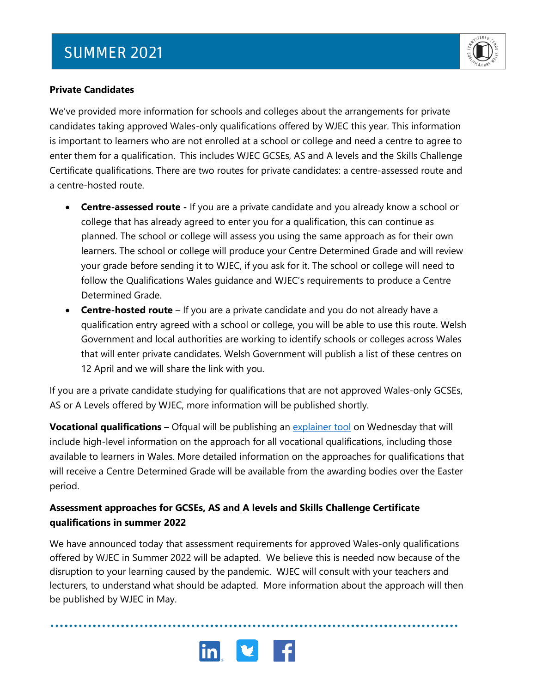## **SUMMER 2021**



#### **Private Candidates**

We've provided more information for schools and colleges about the arrangements for private candidates taking approved Wales-only qualifications offered by WJEC this year. This information is important to learners who are not enrolled at a school or college and need a centre to agree to enter them for a qualification. This includes WJEC GCSEs, AS and A levels and the Skills Challenge Certificate qualifications. There are two routes for private candidates: a centre-assessed route and a centre-hosted route.

- **Centre-assessed route -** If you are a private candidate and you already know a school or college that has already agreed to enter you for a qualification, this can continue as planned. The school or college will assess you using the same approach as for their own learners. The school or college will produce your Centre Determined Grade and will review your grade before sending it to WJEC, if you ask for it. The school or college will need to follow the Qualifications Wales guidance and WJEC's requirements to produce a Centre Determined Grade.
- **Centre-hosted route** If you are a private candidate and you do not already have a qualification entry agreed with a school or college, you will be able to use this route. Welsh Government and local authorities are working to identify schools or colleges across Wales that will enter private candidates. Welsh Government will publish a list of these centres on 12 April and we will share the link with you.

If you are a private candidate studying for qualifications that are not approved Wales-only GCSEs, AS or A Levels offered by WJEC, more information will be published shortly.

**Vocational qualifications –** Ofqual will be publishing an *explainer tool* on Wednesday that will include high-level information on the approach for all vocational qualifications, including those available to learners in Wales. More detailed information on the approaches for qualifications that will receive a Centre Determined Grade will be available from the awarding bodies over the Easter period.

### **Assessment approaches for GCSEs, AS and A levels and Skills Challenge Certificate qualifications in summer 2022**

We have announced today that assessment requirements for approved Wales-only qualifications offered by WJEC in Summer 2022 will be adapted. We believe this is needed now because of the disruption to your learning caused by the pandemic. WJEC will consult with your teachers and lecturers, to understand what should be adapted. More information about the approach will then be published by WJEC in May.